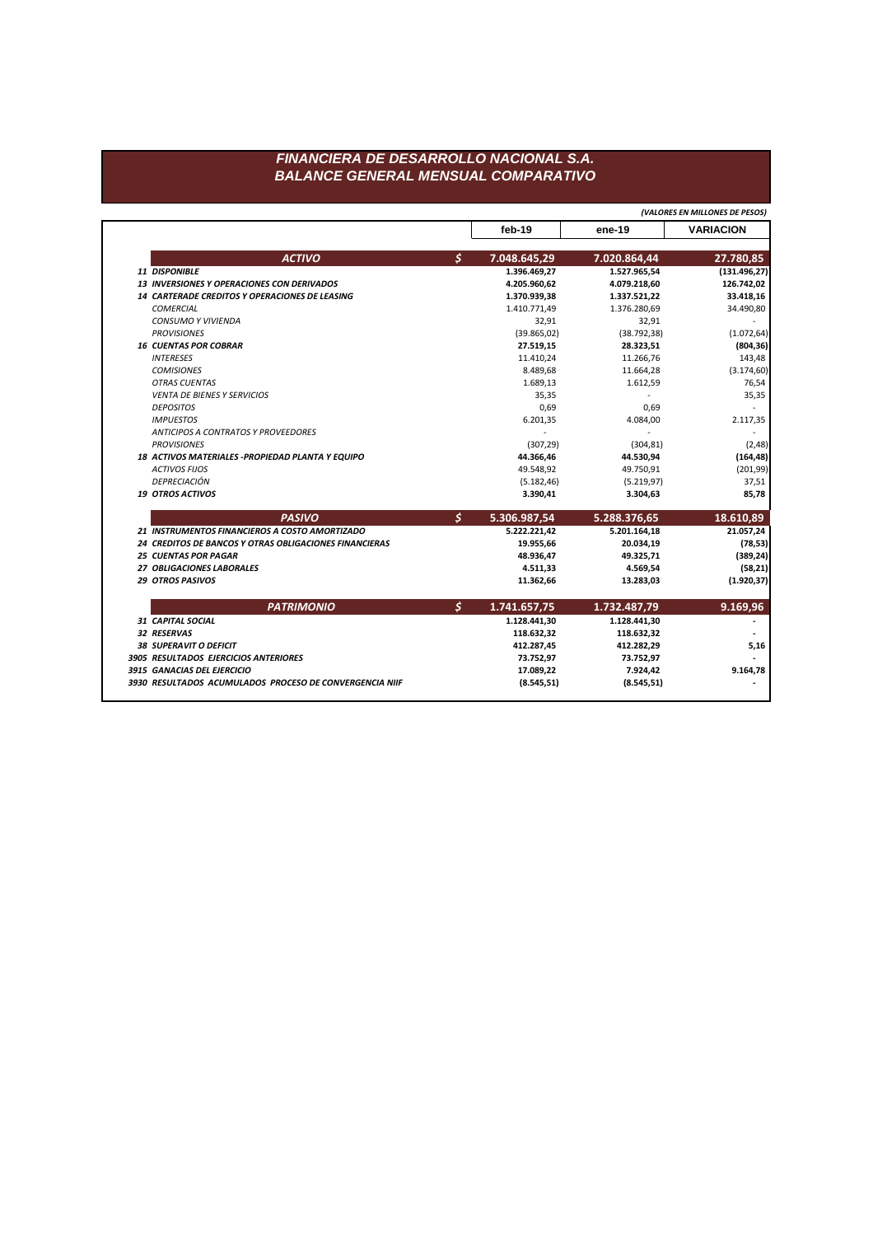## FINANCIERA DE DESARROLLO NACIONAL S.A. **BALANCE GENERAL MENSUAL COMPARATIVO**

(VALORES EN MILLONES DE PESOS) ene-19 feb-19 **VARIACION**  $\mathsf{S}$ **ACTIVO** 7.048.645,29 7.020.864,44 27.780,85  $(131.496, 27)$ 11 DISPONIBLE 1.396.469,27 1.527.965,54 13 INVERSIONES Y OPERACIONES CON DERIVADOS 126.742,02 4.205.960,62 4.079.218,60 14 CARTERADE CREDITOS Y OPERACIONES DE LEASING 33.418,16 1.370.939,38 1.337.521,22 **COMERCIAL** 1.410.771,49 1.376.280,69 34.490,80 CONSUMO Y VIVIENDA 32,91 32,91 **PROVISIONES**  $(1.072, 64)$  $(39.865, 02)$  $(38.792, 38)$ **16 CUENTAS POR COBRAR**  $(804, 36)$ 27.519,15 28.323,51 **INTERESES** 11.410,24 11.266,76 143,48 **COMISIONES** 8.489,68 11.664,28  $(3.174, 60)$ **OTRAS CUENTAS** 1.689,13 1.612,59 76,54 VENTA DE BIENES Y SERVICIOS 35,35 35,35  $\sim$ **DEPOSITOS** 0,69 0,69 2.117,35 **IMPUESTOS** 6.201,35 4.084,00 **ANTICIPOS A CONTRATOS Y PROVEEDORES**  $\sim$  $\sim$  $(304, 81)$ **PROVISIONES**  $(307, 29)$  $(2, 48)$ 18 ACTIVOS MATERIALES - PROPIEDAD PLANTA Y EQUIPO 44.366,46 44.530,94  $(164, 48)$ **ACTIVOS FIJOS** 49.548,92 49.750,91  $(201, 99)$ DEPRECIACIÓN  $(5.182, 46)$  $(5.219, 97)$ 37,51 **19 OTROS ACTIVOS** 3.390,41 3.304,63 85,78  $\mathsf{S}$ **PASIVO** 5.306.987,54 5.288.376,65 18.610,89 21 INSTRUMENTOS FINANCIEROS A COSTO AMORTIZADO 5.222.221,42 5.201.164,18 21.057,24 24 CREDITOS DE BANCOS Y OTRAS OBLIGACIONES FINANCIERAS  $(78, 53)$ 19.955,66 20.034,19 **25 CUENTAS POR PAGAR** 48.936,47 49.325,71  $(389, 24)$ 27 OBLIGACIONES LABORALES 4.511,33 4.569,54  $(58, 21)$ 29 OTROS PASIVOS 11.362,66 13.283,03  $(1.920, 37)$ **PATRIMONIO**  $\mathcal{S}$ 1.741.657,75 1.732.487,79 9.169,96 31 CAPITAL SOCIAL 1.128.441,30 1.128.441,30  $\overline{\phantom{a}}$ 32 RESERVAS 118.632,32 118.632,32  $\blacksquare$ **38 SUPERAVIT O DEFICIT** 412.287,45 412.282,29 5,16 3905 RESULTADOS EJERCICIOS ANTERIORES 73.752,97 73.752,97 3915 GANACIAS DEL EJERCICIO 17.089,22 7.924,42 9.164,78 3930 RESULTADOS ACUMULADOS PROCESO DE CONVERGENCIA NIIF  $(8.545, 51)$  $(8.545, 51)$